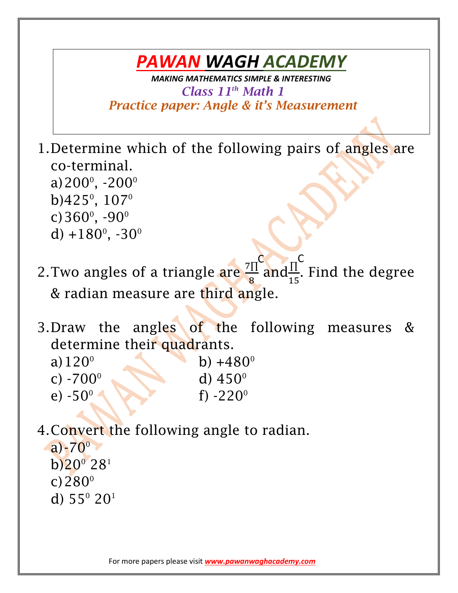## *PAWAN WAGH ACADEMY*

*MAKING MATHEMATICS SIMPLE & INTERESTING Class 11th Math 1 Practice paper: Angle & it's Measurement* 

1.Determine which of the following pairs of angles are co-terminal. a)200 $^{\circ}$ , -200 $^{\circ}$ b) $425^{\circ}$ ,  $107^{\circ}$ c)  $360^{\circ}$ ,  $-90^{\circ}$ d)  $+180^\circ$ ,  $-30^\circ$ 

- 2. Two angles of a triangle are  $\frac{7\Pi}{6}$ 8 and $\frac{\Pi}{4}$ 15 . Find the degree & radian measure are third angle.  $C \rightarrow \pi C$
- 3.Draw the angles of the following measures & determine their quadrants.
	- a)  $120^\circ$  b)  $+480^\circ$ c)  $-700^\circ$  d)  $450^\circ$ e)  $-50^{\circ}$ f)  $-220^\circ$
- 4.Convert the following angle to radian.  $a) - 70^{\circ}$  $b)20^{\circ} 28^{\circ}$ c) $280^{\circ}$ 
	- d)  $55^{\circ}$   $20^{\circ}$